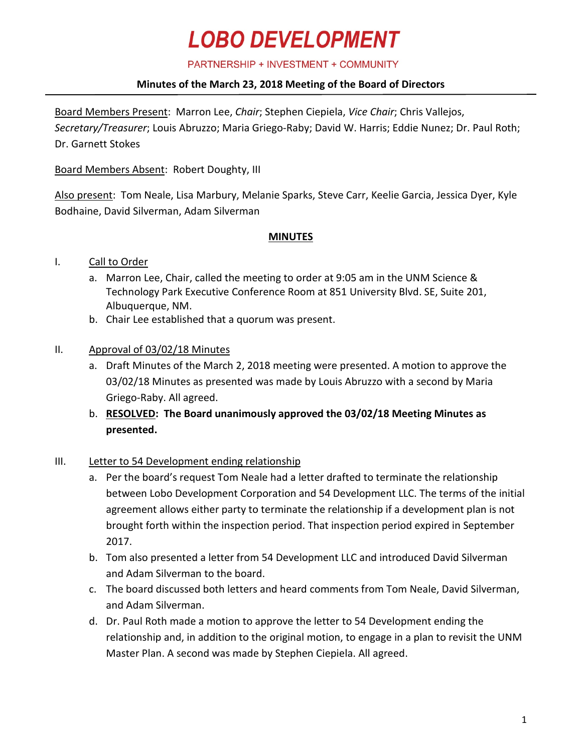# **LOBO DEVELOPMENT**

PARTNERSHIP + INVESTMENT + COMMUNITY

# **Minutes of the March 23, 2018 Meeting of the Board of Directors**

Board Members Present: Marron Lee, *Chair*; Stephen Ciepiela, *Vice Chair*; Chris Vallejos, *Secretary/Treasurer*; Louis Abruzzo; Maria Griego-Raby; David W. Harris; Eddie Nunez; Dr. Paul Roth; Dr. Garnett Stokes

Board Members Absent: Robert Doughty, III

Also present: Tom Neale, Lisa Marbury, Melanie Sparks, Steve Carr, Keelie Garcia, Jessica Dyer, Kyle Bodhaine, David Silverman, Adam Silverman

# **MINUTES**

# I. Call to Order

- a. Marron Lee, Chair, called the meeting to order at 9:05 am in the UNM Science & Technology Park Executive Conference Room at 851 University Blvd. SE, Suite 201, Albuquerque, NM.
- b. Chair Lee established that a quorum was present.

# II. Approval of 03/02/18 Minutes

- a. Draft Minutes of the March 2, 2018 meeting were presented. A motion to approve the 03/02/18 Minutes as presented was made by Louis Abruzzo with a second by Maria Griego-Raby. All agreed.
- b. **RESOLVED: The Board unanimously approved the 03/02/18 Meeting Minutes as presented.**

# III. Letter to 54 Development ending relationship

- a. Per the board's request Tom Neale had a letter drafted to terminate the relationship between Lobo Development Corporation and 54 Development LLC. The terms of the initial agreement allows either party to terminate the relationship if a development plan is not brought forth within the inspection period. That inspection period expired in September 2017.
- b. Tom also presented a letter from 54 Development LLC and introduced David Silverman and Adam Silverman to the board.
- c. The board discussed both letters and heard comments from Tom Neale, David Silverman, and Adam Silverman.
- d. Dr. Paul Roth made a motion to approve the letter to 54 Development ending the relationship and, in addition to the original motion, to engage in a plan to revisit the UNM Master Plan. A second was made by Stephen Ciepiela. All agreed.